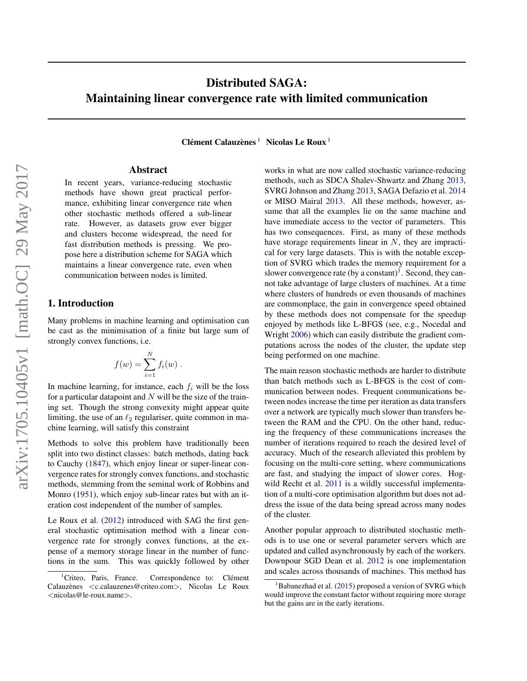# Distributed SAGA: Maintaining linear convergence rate with limited communication

 $C$ lément Calauzènes<sup>1</sup> Nicolas Le Roux<sup>1</sup>

### Abstract

In recent years, variance-reducing stochastic methods have shown great practical performance, exhibiting linear convergence rate when other stochastic methods offered a sub-linear rate. However, as datasets grow ever bigger and clusters become widespread, the need for fast distribution methods is pressing. We propose here a distribution scheme for SAGA which maintains a linear convergence rate, even when communication between nodes is limited.

# 1. Introduction

Many problems in machine learning and optimisation can be cast as the minimisation of a finite but large sum of strongly convex functions, i.e.

$$
f(w) = \sum_{i=1}^N f_i(w) .
$$

In machine learning, for instance, each  $f_i$  will be the loss for a particular datapoint and  $N$  will be the size of the training set. Though the strong convexity might appear quite limiting, the use of an  $\ell_2$  regulariser, quite common in machine learning, will satisfy this constraint

Methods to solve this problem have traditionally been split into two distinct classes: batch methods, dating back to Cauchy [\(1847\)](#page-8-0), which enjoy linear or super-linear convergence rates for strongly convex functions, and stochastic methods, stemming from the seminal work of Robbins and Monro [\(1951\)](#page-8-0), which enjoy sub-linear rates but with an iteration cost independent of the number of samples.

Le Roux et al. [\(2012\)](#page-8-0) introduced with SAG the first general stochastic optimisation method with a linear convergence rate for strongly convex functions, at the expense of a memory storage linear in the number of functions in the sum. This was quickly followed by other works in what are now called stochastic variance-reducing methods, such as SDCA Shalev-Shwartz and Zhang [2013,](#page-8-0) SVRG Johnson and Zhang [2013,](#page-8-0) SAGA Defazio et al. [2014](#page-8-0) or MISO Mairal [2013.](#page-8-0) All these methods, however, assume that all the examples lie on the same machine and have immediate access to the vector of parameters. This has two consequences. First, as many of these methods have storage requirements linear in  $N$ , they are impractical for very large datasets. This is with the notable exception of SVRG which trades the memory requirement for a slower convergence rate (by a constant)<sup>1</sup>. Second, they cannot take advantage of large clusters of machines. At a time where clusters of hundreds or even thousands of machines are commonplace, the gain in convergence speed obtained by these methods does not compensate for the speedup enjoyed by methods like L-BFGS (see, e.g., Nocedal and Wright [2006\)](#page-8-0) which can easily distribute the gradient computations across the nodes of the cluster, the update step being performed on one machine.

The main reason stochastic methods are harder to distribute than batch methods such as L-BFGS is the cost of communication between nodes. Frequent communications between nodes increase the time per iteration as data transfers over a network are typically much slower than transfers between the RAM and the CPU. On the other hand, reducing the frequency of these communications increases the number of iterations required to reach the desired level of accuracy. Much of the research alleviated this problem by focusing on the multi-core setting, where communications are fast, and studying the impact of slower cores. Hog-wild Recht et al. [2011](#page-8-0) is a wildly successful implementation of a multi-core optimisation algorithm but does not address the issue of the data being spread across many nodes of the cluster.

Another popular approach to distributed stochastic methods is to use one or several parameter servers which are updated and called asynchronously by each of the workers. Downpour SGD Dean et al. [2012](#page-8-0) is one implementation and scales across thousands of machines. This method has

<sup>&</sup>lt;sup>1</sup>Criteo, Paris, France. Correspondence to: Clément Calauzènes <c.calauzenes@criteo.com>, Nicolas Le Roux <nicolas@le-roux.name>.

Babanezhad et al. [\(2015\)](#page-8-0) proposed a version of SVRG which would improve the constant factor without requiring more storage but the gains are in the early iterations.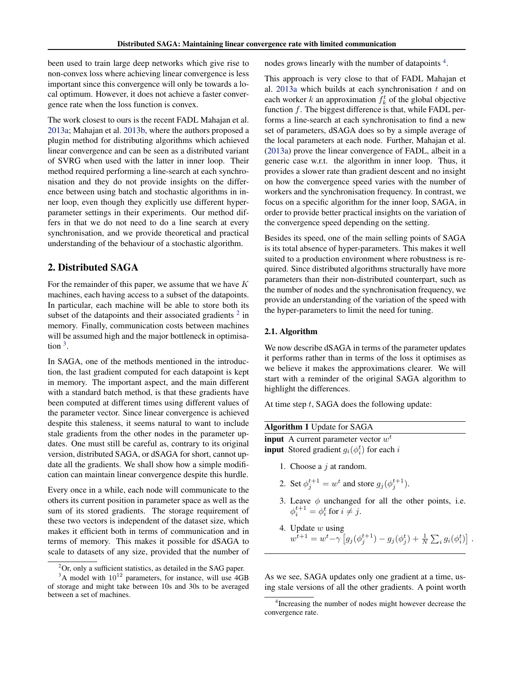been used to train large deep networks which give rise to non-convex loss where achieving linear convergence is less important since this convergence will only be towards a local optimum. However, it does not achieve a faster convergence rate when the loss function is convex.

The work closest to ours is the recent FADL Mahajan et al. [2013a;](#page-8-0) Mahajan et al. [2013b,](#page-8-0) where the authors proposed a plugin method for distributing algorithms which achieved linear convergence and can be seen as a distributed variant of SVRG when used with the latter in inner loop. Their method required performing a line-search at each synchronisation and they do not provide insights on the difference between using batch and stochastic algorithms in inner loop, even though they explicitly use different hyperparameter settings in their experiments. Our method differs in that we do not need to do a line search at every synchronisation, and we provide theoretical and practical understanding of the behaviour of a stochastic algorithm.

# 2. Distributed SAGA

For the remainder of this paper, we assume that we have  $K$ machines, each having access to a subset of the datapoints. In particular, each machine will be able to store both its subset of the datapoints and their associated gradients  $2$  in memory. Finally, communication costs between machines will be assumed high and the major bottleneck in optimisa- $\frac{1}{2}$  tion  $\frac{3}{2}$ .

In SAGA, one of the methods mentioned in the introduction, the last gradient computed for each datapoint is kept in memory. The important aspect, and the main different with a standard batch method, is that these gradients have been computed at different times using different values of the parameter vector. Since linear convergence is achieved despite this staleness, it seems natural to want to include stale gradients from the other nodes in the parameter updates. One must still be careful as, contrary to its original version, distributed SAGA, or dSAGA for short, cannot update all the gradients. We shall show how a simple modification can maintain linear convergence despite this hurdle.

Every once in a while, each node will communicate to the others its current position in parameter space as well as the sum of its stored gradients. The storage requirement of these two vectors is independent of the dataset size, which makes it efficient both in terms of communication and in terms of memory. This makes it possible for dSAGA to scale to datasets of any size, provided that the number of nodes grows linearly with the number of datapoints<sup>4</sup>.

This approach is very close to that of FADL Mahajan et al. [2013a](#page-8-0) which builds at each synchronisation  $t$  and on each worker k an approximation  $f_k^t$  of the global objective function  $f$ . The biggest difference is that, while FADL performs a line-search at each synchronisation to find a new set of parameters, dSAGA does so by a simple average of the local parameters at each node. Further, Mahajan et al. [\(2013a\)](#page-8-0) prove the linear convergence of FADL, albeit in a generic case w.r.t. the algorithm in inner loop. Thus, it provides a slower rate than gradient descent and no insight on how the convergence speed varies with the number of workers and the synchronisation frequency. In contrast, we focus on a specific algorithm for the inner loop, SAGA, in order to provide better practical insights on the variation of the convergence speed depending on the setting.

Besides its speed, one of the main selling points of SAGA is its total absence of hyper-parameters. This makes it well suited to a production environment where robustness is required. Since distributed algorithms structurally have more parameters than their non-distributed counterpart, such as the number of nodes and the synchronisation frequency, we provide an understanding of the variation of the speed with the hyper-parameters to limit the need for tuning.

## 2.1. Algorithm

We now describe dSAGA in terms of the parameter updates it performs rather than in terms of the loss it optimises as we believe it makes the approximations clearer. We will start with a reminder of the original SAGA algorithm to highlight the differences.

At time step t, SAGA does the following update:

**input** A current parameter vector  $w^t$ **input** Stored gradient  $g_i(\phi_i^t)$  for each i

- 1. Choose a  $j$  at random.
- 2. Set  $\phi_j^{t+1} = w^t$  and store  $g_j(\phi_j^{t+1})$ .
- 3. Leave  $\phi$  unchanged for all the other points, i.e.  $\phi_i^{t+1} = \phi_i^t$  for  $i \neq j$ .
- 4. Update  $w$  using  $w^{\overline{t}+1} = w^t - \gamma \left[ g_j(\phi_j^{t+1}) - g_j(\phi_j^{t}) + \frac{1}{N} \sum_i g_i(\phi_i^{t}) \right].$

As we see, SAGA updates only one gradient at a time, using stale versions of all the other gradients. A point worth

 ${}^{2}$ Or, only a sufficient statistics, as detailed in the SAG paper.

 $3A$  model with  $10^{12}$  parameters, for instance, will use 4GB of storage and might take between 10s and 30s to be averaged between a set of machines.

<sup>4</sup> Increasing the number of nodes might however decrease the convergence rate.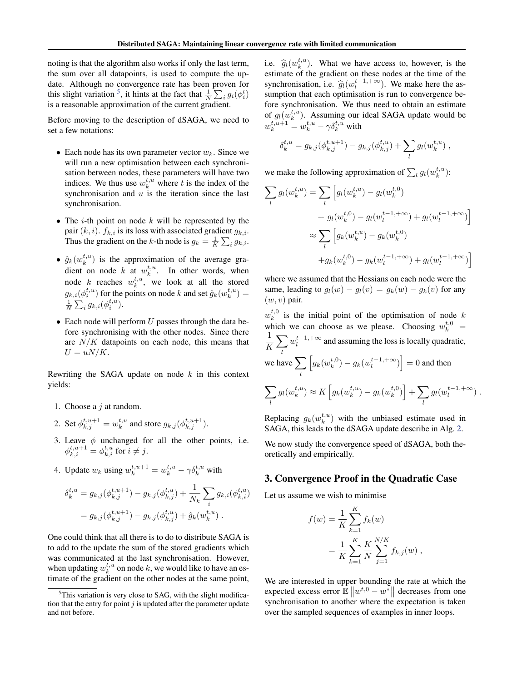<span id="page-2-0"></span>noting is that the algorithm also works if only the last term, the sum over all datapoints, is used to compute the update. Although no convergence rate has been proven for this slight variation <sup>5</sup>, it hints at the fact that  $\frac{1}{N} \sum_i g_i(\phi_i^t)$ is a reasonable approximation of the current gradient.

Before moving to the description of dSAGA, we need to set a few notations:

- Each node has its own parameter vector  $w_k$ . Since we will run a new optimisation between each synchronisation between nodes, these parameters will have two indices. We thus use  $w_k^{t,u}$  where t is the index of the synchronisation and  $u$  is the iteration since the last synchronisation.
- The *i*-th point on node  $k$  will be represented by the pair  $(k, i)$ .  $f_{k,i}$  is its loss with associated gradient  $g_{k,i}$ . Thus the gradient on the k-th node is  $g_k = \frac{1}{K} \sum_i g_{k,i}$ .
- $\hat{g}_k(w_k^{t,u})$  is the approximation of the average gradient on node k at  $w_k^{t,u}$ . In other words, when node k reaches  $w_k^{t,u}$ , we look at all the stored  $g_{k,i}(\phi_i^{t,u})$  for the points on node k and set  $\hat{g}_k(w_k^{t,u}) =$  $\frac{1}{N}\sum_i g_{k,i}(\phi_i^{t,u}).$
- $\bullet$  Each node will perform U passes through the data before synchronising with the other nodes. Since there are  $N/K$  datapoints on each node, this means that  $U = uN/K$ .

Rewriting the SAGA update on node  $k$  in this context yields:

- 1. Choose a  $j$  at random.
- 2. Set  $\phi_{k,j}^{t,u+1} = w_k^{t,u}$  and store  $g_{k,j}(\phi_{k,j}^{t,u+1})$ .
- 3. Leave  $\phi$  unchanged for all the other points, i.e.  $\phi_{k,i}^{t,u+1} = \phi_{k,i}^{t,u}$  for  $i \neq j$ .
- 4. Update  $w_k$  using  $w_k^{t,u+1} = w_k^{t,u} \gamma \delta_k^{t,u}$  with

$$
\delta_k^{t,u} = g_{k,j}(\phi_{k,j}^{t,u+1}) - g_{k,j}(\phi_{k,j}^{t,u}) + \frac{1}{N_k} \sum_i g_{k,i}(\phi_{k,i}^{t,u})
$$
  
=  $g_{k,j}(\phi_{k,j}^{t,u+1}) - g_{k,j}(\phi_{k,j}^{t,u}) + \hat{g}_k(w_k^{t,u})$ .

One could think that all there is to do to distribute SAGA is to add to the update the sum of the stored gradients which was communicated at the last synchronisation. However, when updating  $w_k^{t,u}$  on node k, we would like to have an estimate of the gradient on the other nodes at the same point,

i.e.  $\hat{g}_l(w_k^{t,u})$ . What we have access to, however, is the estimate of the gradient on these nodes at the time of the estimate of the gradient on these nodes at the time of the synchronisation, i.e.  $\hat{g}_l(w_l^{t-1,+\infty})$ . We make here the as-<br>sumption that each optimisation is run to convergence be sumption that each optimisation is run to convergence before synchronisation. We thus need to obtain an estimate of  $g_l(w_k^{t,u})$ . Assuming our ideal SAGA update would be  $w_k^{t,u+1} = w_k^{t,u} - \gamma \delta_k^{t,u}$  with

$$
\delta_k^{t,u} = g_{k,j}(\phi_{k,j}^{t,u+1}) - g_{k,j}(\phi_{k,j}^{t,u}) + \sum_l g_l(w_k^{t,u}),
$$

we make the following approximation of  $\sum_l g_l(w_k^{t,u})$ :

$$
\sum_{l} g_{l}(w_{k}^{t,u}) = \sum_{l} \left[ g_{l}(w_{k}^{t,u}) - g_{l}(w_{k}^{t,0}) + g_{l}(w_{l}^{t-1,+\infty}) + g_{l}(w_{l}^{t-1,+\infty}) \right]
$$
  

$$
\approx \sum_{l} \left[ g_{k}(w_{k}^{t,u}) - g_{k}(w_{k}^{t,0}) + g_{k}(w_{k}^{t-1,+\infty}) + g_{l}(w_{l}^{t-1,+\infty}) \right]
$$

where we assumed that the Hessians on each node were the same, leading to  $g_l(w) - g_l(v) = g_k(w) - g_k(v)$  for any  $(w, v)$  pair.

 $w_k^{t,0}$  is the initial point of the optimisation of node k which we can choose as we please. Choosing  $w_k^{t,0}$  = 1 K  $\sum w_l^{t-1,+\infty}$  and assuming the loss is locally quadratic, l we have  $\sum$ l  $\left[g_k(w_k^{t,0}) - g_k(w_l^{t-1,+\infty})\right] = 0$  and then  $\sum$ l  $g_l(w_k^{t,u}) \approx K \left[ g_k(w_k^{t,u}) - g_k(w_k^{t,0}) \right] + \sum$ l  $g_l(w_l^{t-1,+\infty})$ .

Replacing  $g_k(w_k^{t,u})$  with the unbiased estimate used in SAGA, this leads to the dSAGA update describe in Alg. [2.](#page-3-0)

We now study the convergence speed of dSAGA, both theoretically and empirically.

# 3. Convergence Proof in the Quadratic Case

Let us assume we wish to minimise

$$
f(w) = \frac{1}{K} \sum_{k=1}^{K} f_k(w)
$$
  
= 
$$
\frac{1}{K} \sum_{k=1}^{K} \frac{K}{N} \sum_{j=1}^{N/K} f_{k,j}(w) ,
$$

We are interested in upper bounding the rate at which the expected excess error  $\mathbb{E} \| w^{t,0} - w^* \|$  decreases from one synchronisation to another where the expectation is taken over the sampled sequences of examples in inner loops.

 $5$ This variation is very close to SAG, with the slight modification that the entry for point  $j$  is updated after the parameter update and not before.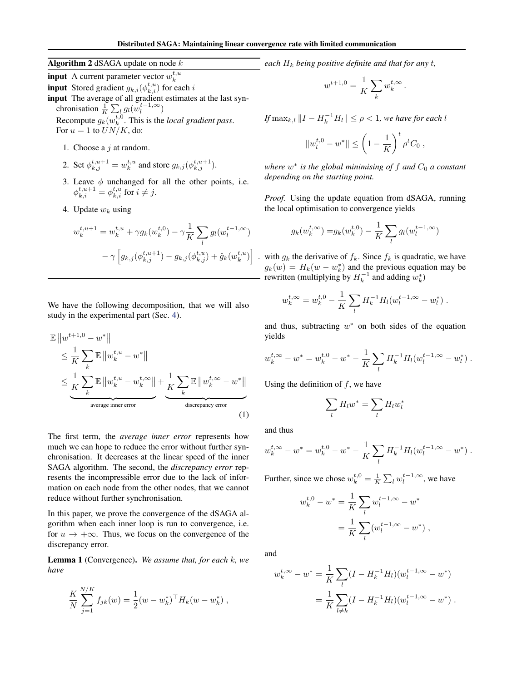<span id="page-3-0"></span>Algorithm 2 dSAGA update on node  $k$ 

**input** A current parameter vector  $w_k^{t,u}$ **input** Stored gradient  $g_{k,i}(\phi_{k,i}^{t,u})$  for each i input The average of all gradient estimates at the last synchronisation  $\frac{1}{K} \sum_{l} g_l(w_l^{t-1,\infty})$ Recompute  $g_k(w_k^{t,0}$ . This is the *local gradient pass*. For  $u = 1$  to  $UN/K$ , do:

- 1. Choose a  $i$  at random.
- 2. Set  $\phi_{k,j}^{t,u+1} = w_k^{t,u}$  and store  $g_{k,j}(\phi_{k,j}^{t,u+1})$ .
- 3. Leave  $\phi$  unchanged for all the other points, i.e.  $\phi_{k,i}^{t,u+1} = \phi_{k,i}^{t,u}$  for  $i \neq j$ .
- 4. Update  $w_k$  using

$$
w_k^{t,u+1} = w_k^{t,u} + \gamma g_k(w_k^{t,0}) - \gamma \frac{1}{K} \sum_l g_l(w_l^{t-1,\infty})
$$

$$
- \gamma \left[ g_{k,j}(\phi_{k,j}^{t,u+1}) - g_{k,j}(\phi_{k,j}^{t,u}) + \hat{g}_k(w_k^{t,u}) \right]
$$

We have the following decomposition, that we will also study in the experimental part (Sec. [4\)](#page-4-0).

$$
\mathbb{E} \|w^{t+1,0} - w^*\|
$$
\n
$$
\leq \frac{1}{K} \sum_{k} \mathbb{E} \|w_k^{t,u} - w^*\|
$$
\n
$$
\leq \underbrace{\frac{1}{K} \sum_{k} \mathbb{E} \|w_k^{t,u} - w_k^{t,\infty}\|}_{\text{average inner error}} + \underbrace{\frac{1}{K} \sum_{k} \mathbb{E} \|w_k^{t,\infty} - w^*\|}_{\text{discrepancy error}}
$$
\n(1)

The first term, the *average inner error* represents how much we can hope to reduce the error without further synchronisation. It decreases at the linear speed of the inner SAGA algorithm. The second, the *discrepancy error* represents the incompressible error due to the lack of information on each node from the other nodes, that we cannot reduce without further synchronisation.

In this paper, we prove the convergence of the dSAGA algorithm when each inner loop is run to convergence, i.e. for  $u \to +\infty$ . Thus, we focus on the convergence of the discrepancy error.

Lemma 1 (Convergence). *We assume that, for each* k*, we have*

$$
\frac{K}{N} \sum_{j=1}^{N/K} f_{jk}(w) = \frac{1}{2} (w - w_k^*)^{\top} H_k(w - w_k^*) ,
$$

*each*  $H_k$  *being positive definite and that for any t,* 

$$
w^{t+1,0} = \frac{1}{K} \sum_k w_k^{t,\infty}.
$$

*If*  $\max_{k,l}$   $\|I - H_k^{-1}H_l\| \leq \rho < 1$ , we have for each l

$$
||w_l^{t,0} - w^*|| \le \left(1 - \frac{1}{K}\right)^t \rho^t C_0 ,
$$

*where*  $w^*$  *is the global minimising of*  $f$  *and*  $C_0$  *a constant depending on the starting point.*

*Proof.* Using the update equation from dSAGA, running the local optimisation to convergence yields

$$
g_k(w_k^{t,\infty}) = g_k(w_k^{t,0}) - \frac{1}{K} \sum_l g_l(w_l^{t-1,\infty})
$$

with  $g_k$  the derivative of  $f_k$ . Since  $f_k$  is quadratic, we have  $g_k(w) = H_k(w - w_k^*)$  and the previous equation may be rewritten (multiplying by  $H_k^{-1}$  and adding  $w_k^*$ )

$$
w_k^{t,\infty} = w_k^{t,0} - \frac{1}{K} \sum_l H_k^{-1} H_l(w_l^{t-1,\infty} - w_l^*)
$$
.

and thus, subtracting  $w^*$  on both sides of the equation yields

$$
w_k^{t,\infty} - w^* = w_k^{t,0} - w^* - \frac{1}{K} \sum_l H_k^{-1} H_l(w_l^{t-1,\infty} - w_l^*)
$$

Using the definition of  $f$ , we have

$$
\sum_l H_l w^* = \sum_l H_l w^*_l
$$

and thus

 $\boldsymbol{\eta}$ 

$$
w_k^{t,\infty} - w^* = w_k^{t,0} - w^* - \frac{1}{K} \sum_l H_k^{-1} H_l(w_l^{t-1,\infty} - w^*)
$$

Further, since we chose  $w_k^{t,0} = \frac{1}{K} \sum_l w_l^{t-1,\infty}$ , we have

$$
v_k^{t,0} - w^* = \frac{1}{K} \sum_l w_l^{t-1,\infty} - w^*
$$
  
= 
$$
\frac{1}{K} \sum_l (w_l^{t-1,\infty} - w^*)
$$
,

and

$$
w_k^{t,\infty} - w^* = \frac{1}{K} \sum_l (I - H_k^{-1} H_l)(w_l^{t-1,\infty} - w^*)
$$
  
= 
$$
\frac{1}{K} \sum_{l \neq k} (I - H_k^{-1} H_l)(w_l^{t-1,\infty} - w^*)
$$
.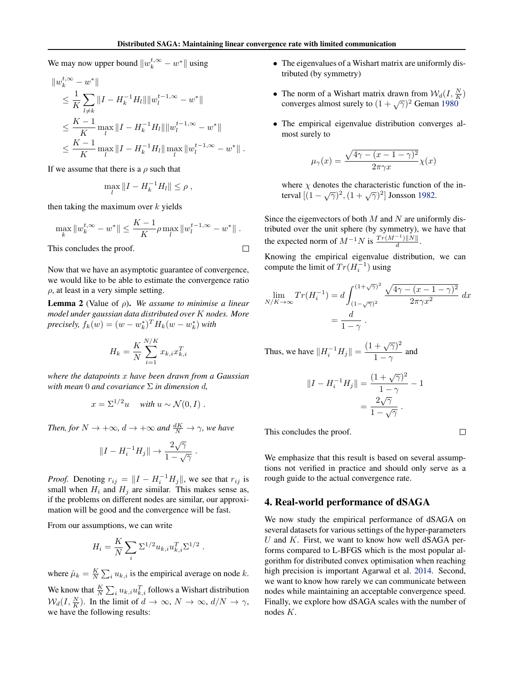$\Box$ 

<span id="page-4-0"></span>We may now upper bound  $||w_k^{t,\infty} - w^*||$  using

$$
\|w_k^{t,\infty} - w^*\|
$$
  
\n
$$
\leq \frac{1}{K} \sum_{l \neq k} ||I - H_k^{-1} H_l|| \|w_l^{t-1,\infty} - w^*\|
$$
  
\n
$$
\leq \frac{K-1}{K} \max_l ||I - H_k^{-1} H_l|| \|w_l^{t-1,\infty} - w^*\|
$$
  
\n
$$
\leq \frac{K-1}{K} \max_l ||I - H_k^{-1} H_l|| \max_l ||w_l^{t-1,\infty} - w^*||.
$$

If we assume that there is a  $\rho$  such that

$$
\max_{l} \|I - H_k^{-1}H_l\| \le \rho ,
$$

then taking the maximum over  $k$  yields

$$
\max_{k} \|w_k^{t,\infty} - w^*\| \le \frac{K-1}{K} \rho \max_{l} \|w_l^{t-1,\infty} - w^*\|.
$$

This concludes the proof.

Now that we have an asymptotic guarantee of convergence, we would like to be able to estimate the convergence ratio  $\rho$ , at least in a very simple setting.

Lemma 2 (Value of ρ). *We assume to minimise a linear model under gaussian data distributed over* K *nodes. More precisely,*  $f_k(w) = (w - w_k^*)^T H_k(w - w_k^*)$  *with* 

$$
H_k = \frac{K}{N} \sum_{i=1}^{N/K} x_{k,i} x_{k,i}^T
$$

*where the datapoints* x *have been drawn from a Gaussian with mean* 0 *and covariance* Σ *in dimension* d*,*

$$
x = \Sigma^{1/2} u \quad \text{with } u \sim \mathcal{N}(0, I) .
$$

*Then, for*  $N \to +\infty$ *,*  $d \to +\infty$  *and*  $\frac{dK}{N} \to \gamma$ *, we have* 

$$
||I - H_i^{-1}H_j|| \to \frac{2\sqrt{\gamma}}{1 - \sqrt{\gamma}}.
$$

*Proof.* Denoting  $r_{ij} = ||I - H_i^{-1}H_j||$ , we see that  $r_{ij}$  is small when  $H_i$  and  $H_j$  are similar. This makes sense as, if the problems on different nodes are similar, our approximation will be good and the convergence will be fast.

From our assumptions, we can write

$$
H_i = \frac{K}{N} \sum_i \Sigma^{1/2} u_{k,i} u_{k,i}^T \Sigma^{1/2} .
$$

where  $\hat{\mu}_k = \frac{K}{N} \sum_i u_{k,i}$  is the empirical average on node k.

We know that  $\frac{K}{N} \sum_i u_{k,i} u_{k,i}^T$  follows a Wishart distribution  $\mathcal{W}_d(I, \frac{N}{K})$ . In the limit of  $d \to \infty$ ,  $N \to \infty$ ,  $d/N \to \gamma$ , we have the following results:

- The eigenvalues of a Wishart matrix are uniformly distributed (by symmetry)
- The norm of a Wishart matrix drawn from  $W_d(I, \frac{N}{K})$ converges almost surely to  $(1 + \sqrt{\gamma})^2$  Geman [1980](#page-8-0)
- The empirical eigenvalue distribution converges almost surely to

$$
\mu_{\gamma}(x) = \frac{\sqrt{4\gamma - (x - 1 - \gamma)^2}}{2\pi\gamma x} \chi(x)
$$

where  $\chi$  denotes the characteristic function of the interval  $[(1 - \sqrt{\gamma})^2, (1 + \sqrt{\gamma})^2]$  Jonsson [1982.](#page-8-0)

Since the eigenvectors of both  $M$  and  $N$  are uniformly distributed over the unit sphere (by symmetry), we have that the expected norm of  $M^{-1}N$  is  $\frac{Tr(M^{-1})||N||}{d}$ d .

Knowing the empirical eigenvalue distribution, we can compute the limit of  $Tr(H_i^{-1})$  using

$$
\lim_{N/K \to \infty} Tr(H_i^{-1}) = d \int_{(1-\sqrt{\gamma})^2}^{(1+\sqrt{\gamma})^2} \frac{\sqrt{4\gamma - (x-1-\gamma)^2}}{2\pi \gamma x^2} dx
$$

$$
= \frac{d}{1-\gamma}.
$$

Thus, we have 
$$
||H_i^{-1}H_j|| = \frac{(1 + \sqrt{\gamma})^2}{1 - \gamma}
$$
 and

$$
||I - H_i^{-1}H_j|| = \frac{(1 + \sqrt{\gamma})^2}{1 - \gamma} - 1
$$

$$
= \frac{2\sqrt{\gamma}}{1 - \sqrt{\gamma}}.
$$

This concludes the proof.

 $\Box$ 

We emphasize that this result is based on several assumptions not verified in practice and should only serve as a rough guide to the actual convergence rate.

# 4. Real-world performance of dSAGA

We now study the empirical performance of dSAGA on several datasets for various settings of the hyper-parameters U and  $K$ . First, we want to know how well dSAGA performs compared to L-BFGS which is the most popular algorithm for distributed convex optimisation when reaching high precision is important Agarwal et al. [2014.](#page-8-0) Second, we want to know how rarely we can communicate between nodes while maintaining an acceptable convergence speed. Finally, we explore how dSAGA scales with the number of nodes K.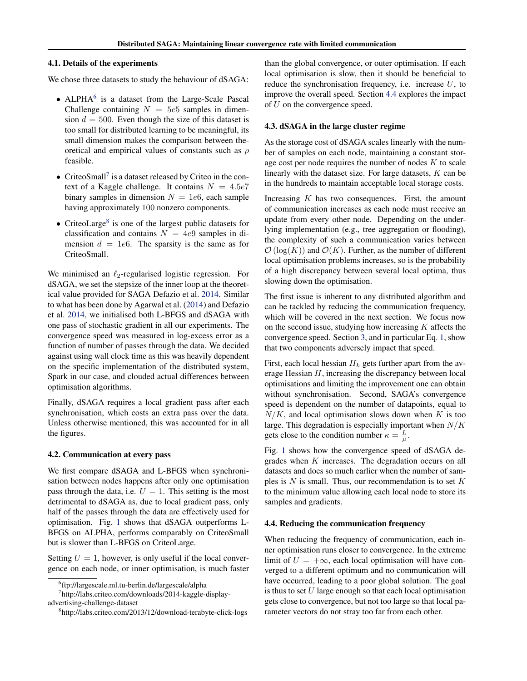### 4.1. Details of the experiments

We chose three datasets to study the behaviour of dSAGA:

- $\bullet$  ALPHA<sup>6</sup> is a dataset from the Large-Scale Pascal Challenge containing  $N = 5e5$  samples in dimension  $d = 500$ . Even though the size of this dataset is too small for distributed learning to be meaningful, its small dimension makes the comparison between theoretical and empirical values of constants such as  $\rho$ feasible.
- $\bullet$  CriteoSmall<sup>7</sup> is a dataset released by Criteo in the context of a Kaggle challenge. It contains  $N = 4.5e7$ binary samples in dimension  $N = 1e6$ , each sample having approximately 100 nonzero components.
- CriteoLarge<sup>8</sup> is one of the largest public datasets for classification and contains  $N = 4e9$  samples in dimension  $d = 1e6$ . The sparsity is the same as for CriteoSmall.

We minimised an  $\ell_2$ -regularised logistic regression. For dSAGA, we set the stepsize of the inner loop at the theoretical value provided for SAGA Defazio et al. [2014.](#page-8-0) Similar to what has been done by Agarwal et al. [\(2014\)](#page-8-0) and Defazio et al. [2014,](#page-8-0) we initialised both L-BFGS and dSAGA with one pass of stochastic gradient in all our experiments. The convergence speed was measured in log-excess error as a function of number of passes through the data. We decided against using wall clock time as this was heavily dependent on the specific implementation of the distributed system, Spark in our case, and clouded actual differences between optimisation algorithms.

Finally, dSAGA requires a local gradient pass after each synchronisation, which costs an extra pass over the data. Unless otherwise mentioned, this was accounted for in all the figures.

#### 4.2. Communication at every pass

We first compare dSAGA and L-BFGS when synchronisation between nodes happens after only one optimisation pass through the data, i.e.  $U = 1$ . This setting is the most detrimental to dSAGA as, due to local gradient pass, only half of the passes through the data are effectively used for optimisation. Fig. [1](#page-6-0) shows that dSAGA outperforms L-BFGS on ALPHA, performs comparably on CriteoSmall but is slower than L-BFGS on CriteoLarge.

Setting  $U = 1$ , however, is only useful if the local convergence on each node, or inner optimisation, is much faster than the global convergence, or outer optimisation. If each local optimisation is slow, then it should be beneficial to reduce the synchronisation frequency, i.e. increase  $U$ , to improve the overall speed. Section 4.4 explores the impact of U on the convergence speed.

### 4.3. dSAGA in the large cluster regime

As the storage cost of dSAGA scales linearly with the number of samples on each node, maintaining a constant storage cost per node requires the number of nodes  $K$  to scale linearly with the dataset size. For large datasets,  $K$  can be in the hundreds to maintain acceptable local storage costs.

Increasing  $K$  has two consequences. First, the amount of communication increases as each node must receive an update from every other node. Depending on the underlying implementation (e.g., tree aggregation or flooding), the complexity of such a communication varies between  $\mathcal{O}(\log(K))$  and  $\mathcal{O}(K)$ . Further, as the number of different local optimisation problems increases, so is the probability of a high discrepancy between several local optima, thus slowing down the optimisation.

The first issue is inherent to any distributed algorithm and can be tackled by reducing the communication frequency, which will be covered in the next section. We focus now on the second issue, studying how increasing  $K$  affects the convergence speed. Section [3,](#page-2-0) and in particular Eq. [1,](#page-3-0) show that two components adversely impact that speed.

First, each local hessian  $H_k$  gets further apart from the average Hessian  $H$ , increasing the discrepancy between local optimisations and limiting the improvement one can obtain without synchronisation. Second, SAGA's convergence speed is dependent on the number of datapoints, equal to  $N/K$ , and local optimisation slows down when K is too large. This degradation is especially important when  $N/K$ gets close to the condition number  $\kappa = \frac{L}{\mu}$ .

Fig. [1](#page-6-0) shows how the convergence speed of dSAGA degrades when K increases. The degradation occurs on all datasets and does so much earlier when the number of samples is  $N$  is small. Thus, our recommendation is to set  $K$ to the minimum value allowing each local node to store its samples and gradients.

### 4.4. Reducing the communication frequency

When reducing the frequency of communication, each inner optimisation runs closer to convergence. In the extreme limit of  $U = +\infty$ , each local optimisation will have converged to a different optimum and no communication will have occurred, leading to a poor global solution. The goal is thus to set  $U$  large enough so that each local optimisation gets close to convergence, but not too large so that local parameter vectors do not stray too far from each other.

<sup>6</sup> ftp://largescale.ml.tu-berlin.de/largescale/alpha

<sup>7</sup> http://labs.criteo.com/downloads/2014-kaggle-displayadvertising-challenge-dataset

<sup>8</sup> http://labs.criteo.com/2013/12/download-terabyte-click-logs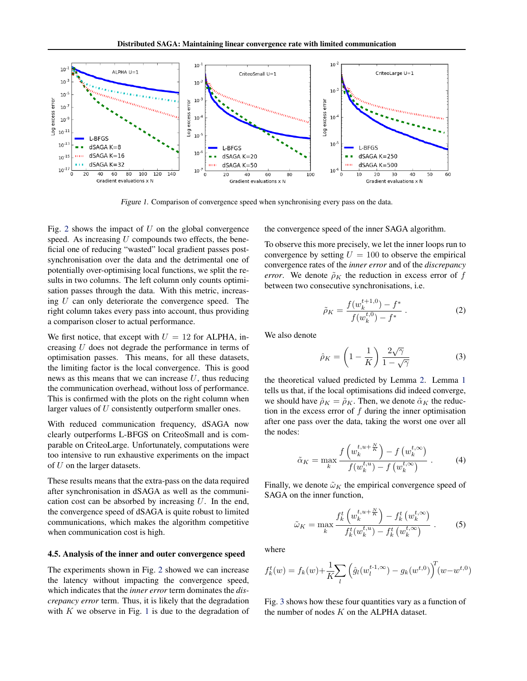<span id="page-6-0"></span>

Figure 1. Comparison of convergence speed when synchronising every pass on the data.

Fig. [2](#page-7-0) shows the impact of  $U$  on the global convergence speed. As increasing  $U$  compounds two effects, the beneficial one of reducing "wasted" local gradient passes postsynchronisation over the data and the detrimental one of potentially over-optimising local functions, we split the results in two columns. The left column only counts optimisation passes through the data. With this metric, increasing U can only deteriorate the convergence speed. The right column takes every pass into account, thus providing a comparison closer to actual performance.

We first notice, that except with  $U = 12$  for ALPHA, increasing U does not degrade the performance in terms of optimisation passes. This means, for all these datasets, the limiting factor is the local convergence. This is good news as this means that we can increase  $U$ , thus reducing the communication overhead, without loss of performance. This is confirmed with the plots on the right column when larger values of U consistently outperform smaller ones.

With reduced communication frequency, dSAGA now clearly outperforms L-BFGS on CriteoSmall and is comparable on CriteoLarge. Unfortunately, computations were too intensive to run exhaustive experiments on the impact of U on the larger datasets.

These results means that the extra-pass on the data required after synchronisation in dSAGA as well as the communication cost can be absorbed by increasing  $U$ . In the end, the convergence speed of dSAGA is quite robust to limited communications, which makes the algorithm competitive when communication cost is high.

### 4.5. Analysis of the inner and outer convergence speed

The experiments shown in Fig. [2](#page-7-0) showed we can increase the latency without impacting the convergence speed, which indicates that the *inner error* term dominates the *discrepancy error* term. Thus, it is likely that the degradation with  $K$  we observe in Fig. 1 is due to the degradation of the convergence speed of the inner SAGA algorithm.

To observe this more precisely, we let the inner loops run to convergence by setting  $U = 100$  to observe the empirical convergence rates of the *inner error* and of the *discrepancy error.* We denote  $\tilde{\rho}_K$  the reduction in excess error of f between two consecutive synchronisations, i.e.

$$
\tilde{\rho}_K = \frac{f(w_k^{t+1,0}) - f^*}{f(w_k^{t,0}) - f^*} \,. \tag{2}
$$

We also denote

$$
\hat{\rho}_K = \left(1 - \frac{1}{K}\right) \frac{2\sqrt{\gamma}}{1 - \sqrt{\gamma}}\tag{3}
$$

the theoretical valued predicted by Lemma [2.](#page-4-0) Lemma [1](#page-3-0) tells us that, if the local optimisations did indeed converge, we should have  $\hat{\rho}_K = \tilde{\rho}_K$ . Then, we denote  $\tilde{\alpha}_K$  the reduction in the excess error of  $f$  during the inner optimisation after one pass over the data, taking the worst one over all the nodes:

$$
\tilde{\alpha}_K = \max_k \frac{f\left(w_k^{t,u+\frac{N}{K}}\right) - f\left(w_k^{t,\infty}\right)}{f(w_k^{t,u}) - f\left(w_k^{t,\infty}\right)}\,. \tag{4}
$$

Finally, we denote  $\tilde{\omega}_K$  the empirical convergence speed of SAGA on the inner function,

$$
\tilde{\omega}_K = \max_k \frac{f_k^t \left(w_k^{t, u + \frac{N}{K}}\right) - f_k^t \left(w_k^{t, \infty}\right)}{f_k^t(w_k^{t, u}) - f_k^t \left(w_k^{t, \infty}\right)} \ . \tag{5}
$$

where

$$
f_k^t(w) = f_k(w) + \frac{1}{K} \sum_l \left( \hat{g}_l(w_l^{t-1, \infty}) - g_k(w^{t, 0}) \right)^T (w - w^{t, 0})
$$

Fig. [3](#page-7-0) shows how these four quantities vary as a function of the number of nodes  $K$  on the ALPHA dataset.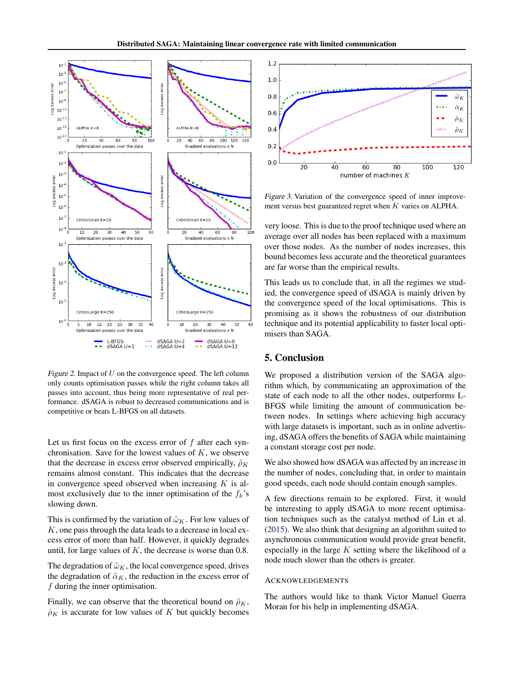<span id="page-7-0"></span>

Figure 2. Impact of  $U$  on the convergence speed. The left column only counts optimisation passes while the right column takes all passes into account, thus being more representative of real performance. dSAGA is robust to decreased communications and is competitive or beats L-BFGS on all datasets.

Let us first focus on the excess error of f after each synchronisation. Save for the lowest values of  $K$ , we observe that the decrease in excess error observed empirically,  $\tilde{\rho}_K$ remains almost constant. This indicates that the decrease in convergence speed observed when increasing  $K$  is almost exclusively due to the inner optimisation of the  $f_k$ 's slowing down.

This is confirmed by the variation of  $\tilde{\omega}_K$ . For low values of  $K$ , one pass through the data leads to a decrease in local excess error of more than half. However, it quickly degrades until, for large values of  $K$ , the decrease is worse than 0.8.

The degradation of  $\tilde{\omega}_K$ , the local convergence speed, drives the degradation of  $\tilde{\alpha}_K$ , the reduction in the excess error of f during the inner optimisation.

Finally, we can observe that the theoretical bound on  $\tilde{\rho}_K$ ,  $\rho_K$  is accurate for low values of K but quickly becomes



Figure 3. Variation of the convergence speed of inner improvement versus best guaranteed regret when K varies on ALPHA.

very loose. This is due to the proof technique used where an average over all nodes has been replaced with a maximum over those nodes. As the number of nodes increases, this bound becomes less accurate and the theoretical guarantees are far worse than the empirical results.

This leads us to conclude that, in all the regimes we studied, the convergence speed of dSAGA is mainly driven by the convergence speed of the local optimisations. This is promising as it shows the robustness of our distribution technique and its potential applicability to faster local optimisers than SAGA.

# 5. Conclusion

We proposed a distribution version of the SAGA algorithm which, by communicating an approximation of the state of each node to all the other nodes, outperforms L-BFGS while limiting the amount of communication between nodes. In settings where achieving high accuracy with large datasets is important, such as in online advertising, dSAGA offers the benefits of SAGA while maintaining a constant storage cost per node.

We also showed how dSAGA was affected by an increase in the number of nodes, concluding that, in order to maintain good speeds, each node should contain enough samples.

A few directions remain to be explored. First, it would be interesting to apply dSAGA to more recent optimisation techniques such as the catalyst method of Lin et al. [\(2015\)](#page-8-0). We also think that designing an algorithm suited to asynchronous communication would provide great benefit, especially in the large  $K$  setting where the likelihood of a node much slower than the others is greater.

### ACKNOWLEDGEMENTS

The authors would like to thank Victor Manuel Guerra Moran for his help in implementing dSAGA.